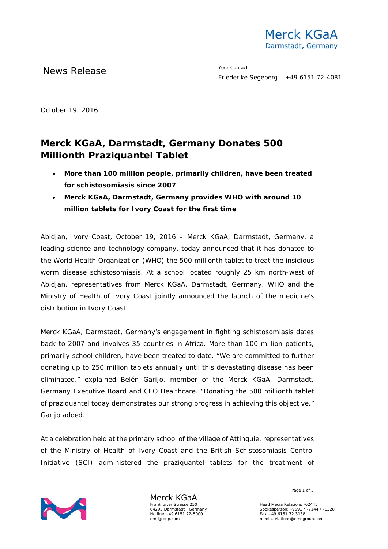

News Release The Merry Contact

October 19, 2016

# **Merck KGaA, Darmstadt, Germany Donates 500 Millionth Praziquantel Tablet**

- **More than 100 million people, primarily children, have been treated for schistosomiasis since 2007**
- **Merck KGaA, Darmstadt, Germany provides WHO with around 10 million tablets for Ivory Coast for the first time**

Abidjan, Ivory Coast, October 19, 2016 – Merck KGaA, Darmstadt, Germany, a leading science and technology company, today announced that it has donated to the World Health Organization (WHO) the 500 millionth tablet to treat the insidious worm disease schistosomiasis. At a school located roughly 25 km north-west of Abidjan, representatives from Merck KGaA, Darmstadt, Germany, WHO and the Ministry of Health of Ivory Coast jointly announced the launch of the medicine's distribution in Ivory Coast.

Merck KGaA, Darmstadt, Germany's engagement in fighting schistosomiasis dates back to 2007 and involves 35 countries in Africa. More than 100 million patients, primarily school children, have been treated to date. "We are committed to further donating up to 250 million tablets annually until this devastating disease has been eliminated," explained Belén Garijo, member of the Merck KGaA, Darmstadt, Germany Executive Board and CEO Healthcare. "Donating the 500 millionth tablet of praziquantel today demonstrates our strong progress in achieving this objective," Garijo added.

At a celebration held at the primary school of the village of Attinguie, representatives of the Ministry of Health of Ivory Coast and the British Schistosomiasis Control Initiative (SCI) administered the praziquantel tablets for the treatment of



Merck KGaA Frankfurter Strasse 250 64293 Darmstadt · Germany Hotline +49 6151 72-5000 emdgroup.com

Page 1 of 3

Head Media Relations -62445 Spokesperson: -9591 / -7144 / -6328 Fax +49 6151 72 3138 media.relations@emdgroup.com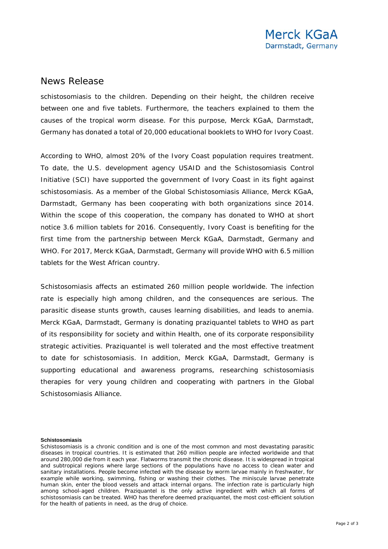### News Release

schistosomiasis to the children. Depending on their height, the children receive between one and five tablets. Furthermore, the teachers explained to them the causes of the tropical worm disease. For this purpose, Merck KGaA, Darmstadt, Germany has donated a total of 20,000 educational booklets to WHO for Ivory Coast.

According to WHO, almost 20% of the Ivory Coast population requires treatment. To date, the U.S. development agency USAID and the Schistosomiasis Control Initiative (SCI) have supported the government of Ivory Coast in its fight against schistosomiasis. As a member of the Global Schistosomiasis Alliance, Merck KGaA, Darmstadt, Germany has been cooperating with both organizations since 2014. Within the scope of this cooperation, the company has donated to WHO at short notice 3.6 million tablets for 2016. Consequently, Ivory Coast is benefiting for the first time from the partnership between Merck KGaA, Darmstadt, Germany and WHO. For 2017, Merck KGaA, Darmstadt, Germany will provide WHO with 6.5 million tablets for the West African country.

Schistosomiasis affects an estimated 260 million people worldwide. The infection rate is especially high among children, and the consequences are serious. The parasitic disease stunts growth, causes learning disabilities, and leads to anemia. Merck KGaA, Darmstadt, Germany is donating praziquantel tablets to WHO as part of its responsibility for society and within Health, one of its corporate responsibility strategic activities. Praziquantel is well tolerated and the most effective treatment to date for schistosomiasis. In addition, Merck KGaA, Darmstadt, Germany is supporting educational and awareness programs, researching schistosomiasis therapies for very young children and cooperating with partners in the Global Schistosomiasis Alliance.

#### **Schistosomiasis**

Schistosomiasis is a chronic condition and is one of the most common and most devastating parasitic diseases in tropical countries. It is estimated that 260 million people are infected worldwide and that around 280,000 die from it each year. Flatworms transmit the chronic disease. It is widespread in tropical and subtropical regions where large sections of the populations have no access to clean water and sanitary installations. People become infected with the disease by worm larvae mainly in freshwater, for example while working, swimming, fishing or washing their clothes. The miniscule larvae penetrate human skin, enter the blood vessels and attack internal organs. The infection rate is particularly high among school-aged children. Praziquantel is the only active ingredient with which all forms of schistosomiasis can be treated. WHO has therefore deemed praziquantel, the most cost-efficient solution for the health of patients in need, as the drug of choice.